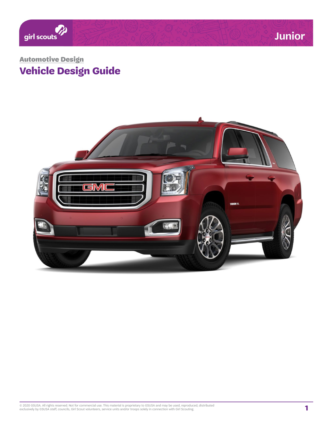

# **Vehicle Design Guide**  Automotive Design

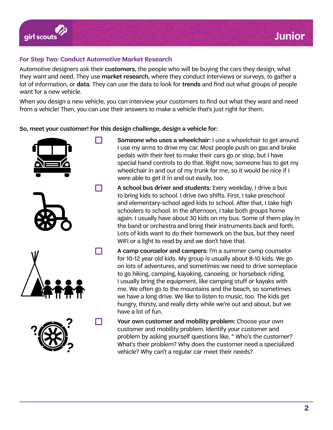

# **For Step Two: Conduct Automotive Market Research**

Automotive designers ask their customers, the people who will be buying the cars they design, what they want and need. They use market research, where they conduct interviews or surveys, to gather a lot of information, or data. They can use the data to look for trends and find out what groups of people want for a new vehicle.

When you design a new vehicle, you can interview your customers to find out what they want and need from a vehicle! Then, you can use their answers to make a vehicle that's just right for them.

So, meet your customer! For this design challenge, design a vehicle for:



- **T** Someone who uses a wheelchair: I use a wheelchair to get around. I use my arms to drive my car. Most people push on gas and brake pedals with their feet to make their cars go or stop, but I have special hand controls to do that. Right now, someone has to get my wheelchair in and out of my trunk for me, so it would be nice if I were able to get it in and out easily, too.
- $\Box$  A school bus driver and students: Every weekday, I drive a bus to bring kids to school. I drive two shifts. First, I take preschool and elementary-school aged kids to school. After that, I take high schoolers to school. In the afternoon, I take both groups home again. I usually have about 30 kids on my bus. Some of them play in the band or orchestra and bring their instruments back and forth. Lots of kids want to do their homework on the bus, but they need WiFi or a light to read by and we don't have that.
- $\Box$  A camp counselor and campers: I'm a summer camp counselor for 10-12 year old kids. My group is usually about 8-10 kids. We go on lots of adventures, and sometimes we need to drive someplace to go hiking, camping, kayaking, canoeing, or horseback riding. I usually bring the equipment, like camping stuff or kayaks with me. We often go to the mountains and the beach, so sometimes we have a long drive. We like to listen to music, too. The kids get hungry, thirsty, and really dirty while we're out and about, but we have a lot of fun.
	- Your own customer and mobility problem: Choose your own customer and mobility problem. Identify your customer and problem by asking yourself questions like, " Who's the customer? What's their problem? Why does the customer need a specialized vehicle? Why can't a regular car meet their needs?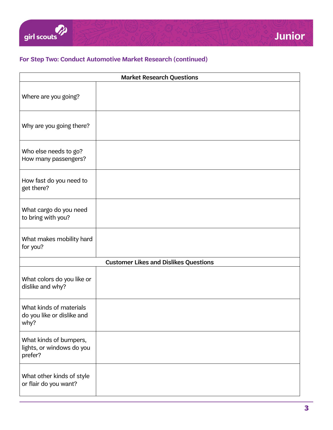# **For Step Two: Conduct Automotive Market Research (continued)**

| <b>Market Research Questions</b>                               |  |  |
|----------------------------------------------------------------|--|--|
| Where are you going?                                           |  |  |
| Why are you going there?                                       |  |  |
| Who else needs to go?<br>How many passengers?                  |  |  |
| How fast do you need to<br>get there?                          |  |  |
| What cargo do you need<br>to bring with you?                   |  |  |
| What makes mobility hard<br>for you?                           |  |  |
| <b>Customer Likes and Dislikes Questions</b>                   |  |  |
| What colors do you like or<br>dislike and why?                 |  |  |
| What kinds of materials<br>do you like or dislike and<br>why?  |  |  |
| What kinds of bumpers,<br>lights, or windows do you<br>prefer? |  |  |
| What other kinds of style<br>or flair do you want?             |  |  |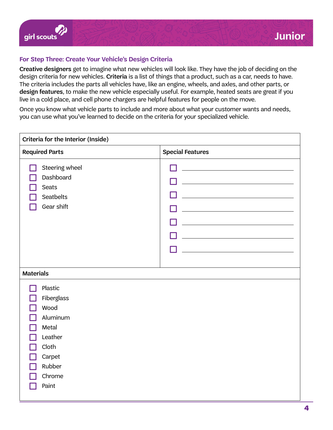## **For Step Three: Create Your Vehicle's Design Criteria**

Creative designers get to imagine what new vehicles will look like. They have the job of deciding on the design criteria for new vehicles. Criteria is a list of things that a product, such as a car, needs to have. The criteria includes the parts all vehicles have, like an engine, wheels, and axles, and other parts, or design features, to make the new vehicle especially useful. For example, heated seats are great if you live in a cold place, and cell phone chargers are helpful features for people on the move.

Once you know what vehicle parts to include and more about what your customer wants and needs, you can use what you've learned to decide on the criteria for your specialized vehicle.

| Criteria for the Interior (Inside)                                                                            |                         |  |
|---------------------------------------------------------------------------------------------------------------|-------------------------|--|
| <b>Required Parts</b>                                                                                         | <b>Special Features</b> |  |
| Steering wheel<br>Dashboard<br>Seats<br>Seatbelts<br>Gear shift                                               |                         |  |
| <b>Materials</b>                                                                                              |                         |  |
| Plastic<br>Fiberglass<br>Wood<br>Aluminum<br>Metal<br>Leather<br>Cloth<br>Carpet<br>Rubber<br>Chrome<br>Paint |                         |  |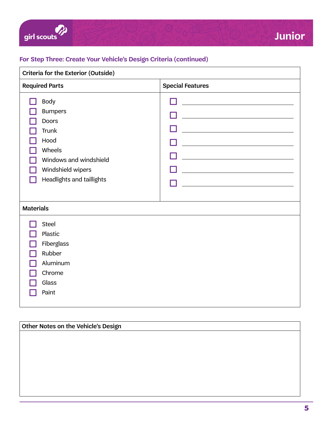

# **For Step Three: Create Your Vehicle's Design Criteria (continued)**

| <b>Criteria for the Exterior (Outside)</b>                                                                                                           |                         |  |  |
|------------------------------------------------------------------------------------------------------------------------------------------------------|-------------------------|--|--|
| <b>Required Parts</b>                                                                                                                                | <b>Special Features</b> |  |  |
| <b>Body</b><br><b>Bumpers</b><br><b>Doors</b><br>Trunk<br>Hood<br>Wheels<br>Windows and windshield<br>Windshield wipers<br>Headlights and taillights |                         |  |  |
| <b>Materials</b>                                                                                                                                     |                         |  |  |
| Steel<br>Plastic<br>Fiberglass<br>Rubber<br>Aluminum<br>Chrome<br>Glass<br>Paint                                                                     |                         |  |  |

# Other Notes on the Vehicle's Design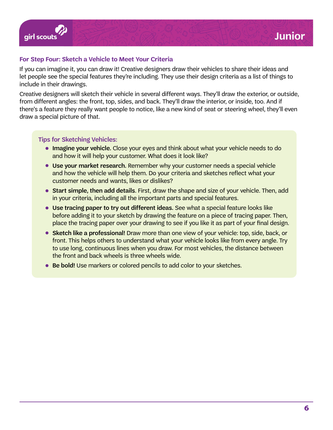

### **For Step Four: Sketch a Vehicle to Meet Your Criteria**

If you can imagine it, you can draw it! Creative designers draw their vehicles to share their ideas and let people see the special features they're including. They use their design criteria as a list of things to include in their drawings.

Creative designers will sketch their vehicle in several different ways. They'll draw the exterior, or outside, from different angles: the front, top, sides, and back. They'll draw the interior, or inside, too. And if there's a feature they really want people to notice, like a new kind of seat or steering wheel, they'll even draw a special picture of that.

#### Tips for Sketching Vehicles:

- Imagine your vehicle. Close your eyes and think about what your vehicle needs to do and how it will help your customer. What does it look like?
- Use your market research. Remember why your customer needs a special vehicle and how the vehicle will help them. Do your criteria and sketches reflect what your customer needs and wants, likes or dislikes?
- Start simple, then add details. First, draw the shape and size of your vehicle. Then, add in your criteria, including all the important parts and special features.
- Use tracing paper to try out different ideas. See what a special feature looks like before adding it to your sketch by drawing the feature on a piece of tracing paper. Then, place the tracing paper over your drawing to see if you like it as part of your final design.
- Sketch like a professional! Draw more than one view of your vehicle: top, side, back, or front. This helps others to understand what your vehicle looks like from every angle. Try to use long, continuous lines when you draw. For most vehicles, the distance between the front and back wheels is three wheels wide.
- Be bold! Use markers or colored pencils to add color to your sketches.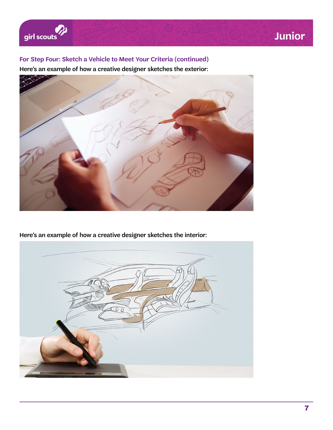

# **For Step Four: Sketch a Vehicle to Meet Your Criteria (continued)**

Here's an example of how a creative designer sketches the exterior:



Here's an example of how a creative designer sketches the interior:

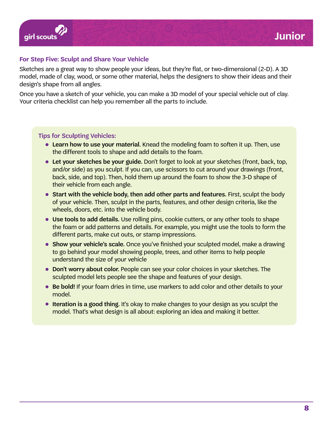

## **For Step Five: Sculpt and Share Your Vehicle**

Sketches are a great way to show people your ideas, but they're flat, or two-dimensional (2-D). A 3D model, made of clay, wood, or some other material, helps the designers to show their ideas and their design's shape from all angles.

Once you have a sketch of your vehicle, you can make a 3D model of your special vehicle out of clay. Your criteria checklist can help you remember all the parts to include.

#### Tips for Sculpting Vehicles:

- Learn how to use your material. Knead the modeling foam to soften it up. Then, use the different tools to shape and add details to the foam.
- Let your sketches be your guide. Don't forget to look at your sketches (front, back, top, and/or side) as you sculpt. If you can, use scissors to cut around your drawings (front, back, side, and top). Then, hold them up around the foam to show the 3-D shape of their vehicle from each angle.
- Start with the vehicle body, then add other parts and features. First, sculpt the body of your vehicle. Then, sculpt in the parts, features, and other design criteria, like the wheels, doors, etc. into the vehicle body.
- Use tools to add details. Use rolling pins, cookie cutters, or any other tools to shape the foam or add patterns and details. For example, you might use the tools to form the different parts, make cut outs, or stamp impressions.
- Show your vehicle's scale. Once you've finished your sculpted model, make a drawing to go behind your model showing people, trees, and other items to help people understand the size of your vehicle
- Don't worry about color. People can see your color choices in your sketches. The sculpted model lets people see the shape and features of your design.
- Be bold! If your foam dries in time, use markers to add color and other details to your model.
- Iteration is a good thing. It's okay to make changes to your design as you sculpt the model. That's what design is all about: exploring an idea and making it better.